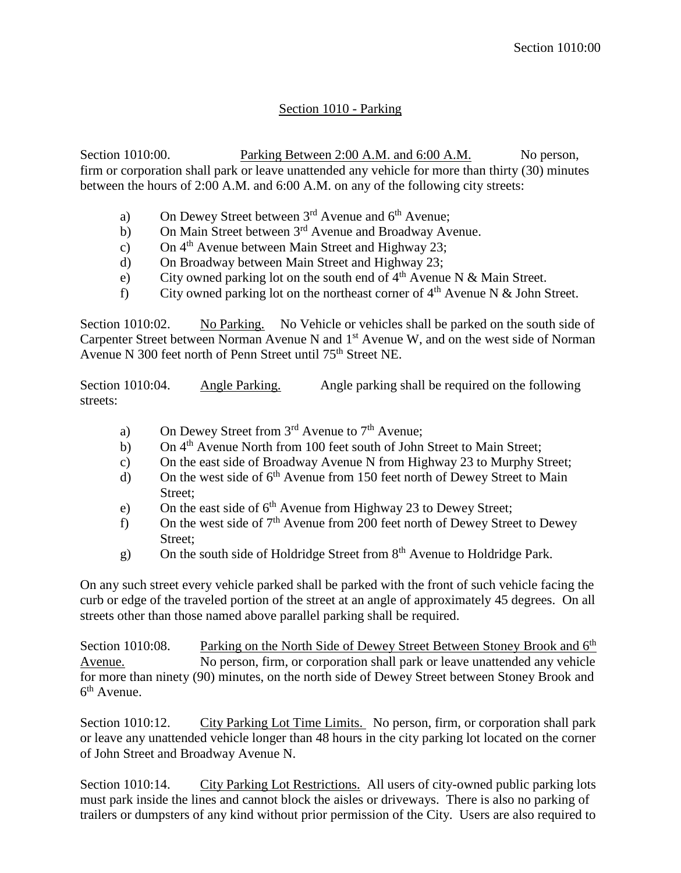## Section 1010 - Parking

Section 1010:00. Parking Between 2:00 A.M. and 6:00 A.M. No person, firm or corporation shall park or leave unattended any vehicle for more than thirty (30) minutes between the hours of 2:00 A.M. and 6:00 A.M. on any of the following city streets:

- a) On Dewey Street between  $3<sup>rd</sup>$  Avenue and  $6<sup>th</sup>$  Avenue;
- b) On Main Street between 3<sup>rd</sup> Avenue and Broadway Avenue.
- c) On 4<sup>th</sup> Avenue between Main Street and Highway 23;
- d) On Broadway between Main Street and Highway 23;
- e) City owned parking lot on the south end of  $4<sup>th</sup>$  Avenue N & Main Street.
- f) City owned parking lot on the northeast corner of  $4<sup>th</sup>$  Avenue N & John Street.

Section 1010:02. No Parking. No Vehicle or vehicles shall be parked on the south side of Carpenter Street between Norman Avenue N and 1<sup>st</sup> Avenue W, and on the west side of Norman Avenue N 300 feet north of Penn Street until 75th Street NE.

Section 1010:04. Angle Parking. Angle parking shall be required on the following streets:

- a) On Dewey Street from  $3<sup>rd</sup>$  Avenue to  $7<sup>th</sup>$  Avenue;
- b) On 4<sup>th</sup> Avenue North from 100 feet south of John Street to Main Street;
- c) On the east side of Broadway Avenue N from Highway 23 to Murphy Street;
- d) On the west side of  $6<sup>th</sup>$  Avenue from 150 feet north of Dewey Street to Main Street;
- e) On the east side of  $6<sup>th</sup>$  Avenue from Highway 23 to Dewey Street;
- f) On the west side of  $7<sup>th</sup>$  Avenue from 200 feet north of Dewey Street to Dewey Street;
- g) On the south side of Holdridge Street from  $8<sup>th</sup>$  Avenue to Holdridge Park.

On any such street every vehicle parked shall be parked with the front of such vehicle facing the curb or edge of the traveled portion of the street at an angle of approximately 45 degrees. On all streets other than those named above parallel parking shall be required.

Section 1010:08. Parking on the North Side of Dewey Street Between Stoney Brook and 6<sup>th</sup> Avenue. No person, firm, or corporation shall park or leave unattended any vehicle for more than ninety (90) minutes, on the north side of Dewey Street between Stoney Brook and 6<sup>th</sup> Avenue.

Section 1010:12. City Parking Lot Time Limits. No person, firm, or corporation shall park or leave any unattended vehicle longer than 48 hours in the city parking lot located on the corner of John Street and Broadway Avenue N.

Section 1010:14. City Parking Lot Restrictions. All users of city-owned public parking lots must park inside the lines and cannot block the aisles or driveways. There is also no parking of trailers or dumpsters of any kind without prior permission of the City. Users are also required to